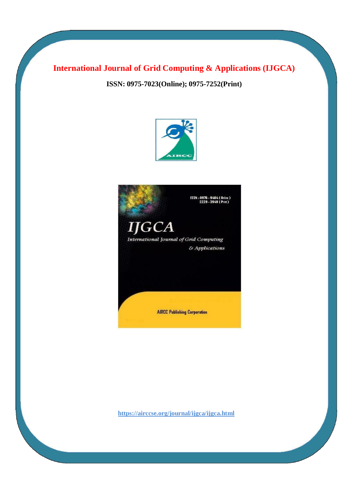### **International Journal of Grid Computing & Applications (IJGCA)**

**ISSN: 0975-7023(Online); 0975-7252(Print)**



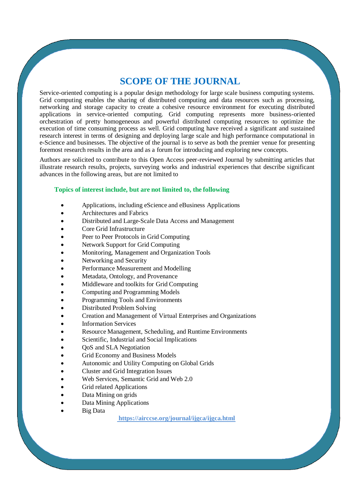## **SCOPE OF THE JOURNAL**

Service-oriented computing is a popular design methodology for large scale business computing systems. Grid computing enables the sharing of distributed computing and data resources such as processing, networking and storage capacity to create a cohesive resource environment for executing distributed applications in service-oriented computing. Grid computing represents more business-oriented orchestration of pretty homogeneous and powerful distributed computing resources to optimize the execution of time consuming process as well. Grid computing have received a significant and sustained research interest in terms of designing and deploying large scale and high performance computational in e-Science and businesses. The objective of the journal is to serve as both the premier venue for presenting foremost research results in the area and as a forum for introducing and exploring new concepts.

Authors are solicited to contribute to this Open Access peer-reviewed Journal by submitting articles that illustrate research results, projects, surveying works and industrial experiences that describe significant advances in the following areas, but are not limited to

#### **Topics of interest include, but are not limited to, the following**

- Applications, including eScience and eBusiness Applications
- Architectures and Fabrics
- Distributed and Large-Scale Data Access and Management
- Core Grid Infrastructure
- Peer to Peer Protocols in Grid Computing
- Network Support for Grid Computing
- Monitoring, Management and Organization Tools
- Networking and Security
- Performance Measurement and Modelling
- Metadata, Ontology, and Provenance
- Middleware and toolkits for Grid Computing
- Computing and Programming Models
- Programming Tools and Environments
- Distributed Problem Solving
- Creation and Management of Virtual Enterprises and Organizations
- Information Services
- Resource Management, Scheduling, and Runtime Environments
- Scientific, Industrial and Social Implications
- QoS and SLA Negotiation
- Grid Economy and Business Models
- Autonomic and Utility Computing on Global Grids
- Cluster and Grid Integration Issues
- Web Services, Semantic Grid and Web 2.0
- Grid related Applications
- Data Mining on grids
- Data Mining Applications
- Big Data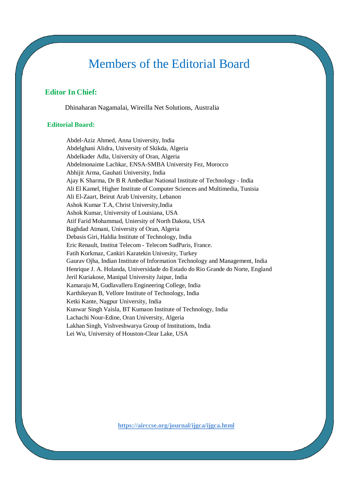# Members of the Editorial Board

#### **Editor In Chief:**

Dhinaharan Nagamalai, Wireilla Net Solutions, Australia

#### **Editorial Board:**

Abdel-Aziz Ahmed, Anna University, India Abdelghani Alidra, University of Skikda, Algeria Abdelkader Adla, University of Oran, Algeria Abdelmonaime Lachkar, ENSA-SMBA University Fez, Morocco Abhijit Arma, Gauhati University, India Ajay K Sharma, Dr B R Ambedkar National Institute of Technology - India Ali El Kamel, Higher Institute of Computer Sciences and Multimedia, Tunisia Ali El-Zaart, Beirut Arab University, Lebanon Ashok Kumar T.A, Christ University,India Ashok Kumar, University of Louisiana, USA Atif Farid Mohammad, Uniersity of North Dakota, USA Baghdad Atmani, University of Oran, Algeria Debasis Giri, Haldia Institute of Technology, India Eric Renault, Institut Telecom - Telecom SudParis, France. Fatih Korkmaz, Cankiri Karatekin Univesity, Turkey Gaurav Ojha, Indian Institute of Information Technology and Management, India Henrique J. A. Holanda, Universidade do Estado do Rio Grande do Norte, England Jeril Kuriakose, Manipal University Jaipur, India Kamaraju M, Gudlavalleru Engineering College, India Karthikeyan B, Vellore Institute of Technology, India Ketki Kante, Nagpur University, India Kunwar Singh Vaisla, BT Kumaon Institute of Technology, India Lachachi Nour-Edine, Oran University, Algeria Lakhan Singh, Vishveshwarya Group of Institutions, India Lei Wu, University of Houston-Clear Lake, USA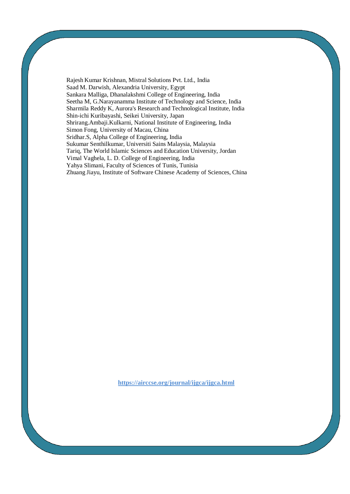Rajesh Kumar Krishnan, Mistral Solutions Pvt. Ltd., India Saad M. Darwish, Alexandria University, Egypt Sankara Malliga, Dhanalakshmi College of Engineering, India Seetha M, G.Narayanamma Institute of Technology and Science, India Sharmila Reddy K, Aurora's Research and Technological Institute, India Shin-ichi Kuribayashi, Seikei University, Japan Shrirang.Ambaji.Kulkarni, National Institute of Engineering, India Simon Fong, University of Macau, China Sridhar.S, Alpha College of Engineering, India Sukumar Senthilkumar, Universiti Sains Malaysia, Malaysia Tariq, The World Islamic Sciences and Education University, Jordan Vimal Vaghela, L. D. College of Engineering, India Yahya Slimani, Faculty of Sciences of Tunis, Tunisia Zhuang Jiayu, Institute of Software Chinese Academy of Sciences, China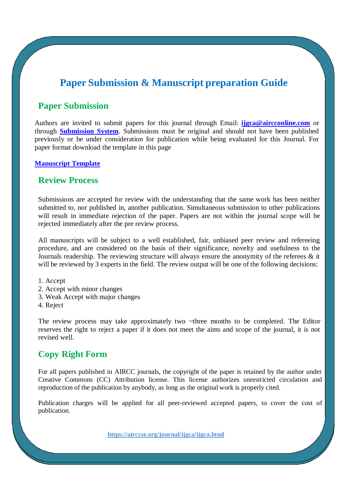# **Paper Submission & Manuscript preparation Guide**

### **Paper Submission**

Authors are invited to submit papers for this journal through Email: **[ijgca@aircconline.com](mailto:ijgca@aircconline.com)** or through **[Submission System](http://coneco2009.com/submissions/imagination/home.html)**. Submissions must be original and should not have been published previously or be under consideration for publication while being evaluated for this Journal. For paper format download the template in this page

#### **[Manuscript Template](https://www.airccse.org/journal/aircc_template.doc)**

#### **Review Process**

Submissions are accepted for review with the understanding that the same work has been neither submitted to, nor published in, another publication. Simultaneous submission to other publications will result in immediate rejection of the paper. Papers are not within the journal scope will be rejected immediately after the pre review process.

All manuscripts will be subject to a well established, fair, unbiased peer review and refereeing procedure, and are considered on the basis of their significance, novelty and usefulness to the Journals readership. The reviewing structure will always ensure the anonymity of the referees & it will be reviewed by 3 experts in the field. The review output will be one of the following decisions:

1. Accept

- 2. Accept with minor changes
- 3. Weak Accept with major changes
- 4. Reject

The review process may take approximately two ~three months to be completed. The Editor reserves the right to reject a paper if it does not meet the aims and scope of the journal, it is not revised well.

### **Copy Right Form**

For all papers published in AIRCC journals, the copyright of the paper is retained by the author under Creative Commons (CC) Attribution license. This license authorizes unrestricted circulation and reproduction of the publication by anybody, as long as the original work is properly cited.

Publication charges will be applied for all peer-reviewed accepted papers, to cover the cost of publication.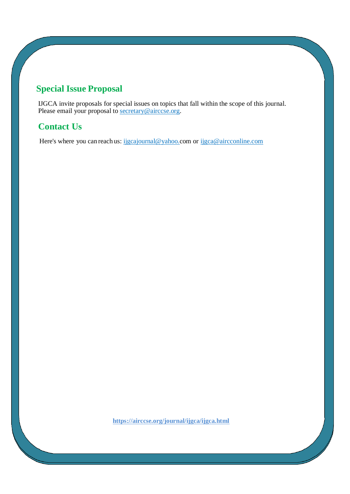# **Special Issue Proposal**

IJGCA invite proposals for special issues on topics that fall within the scope of this journal. Please email your proposal to [secretary@airccse.org.](mailto:secretary@airccse.org)

# **Contact Us**

Here's where you can reach us: [ijgcajournal@yahoo.com](mailto:ijgcajournal@yahoo.com) or [ijgca@aircconline.com](mailto:ijgca@aircconline.com)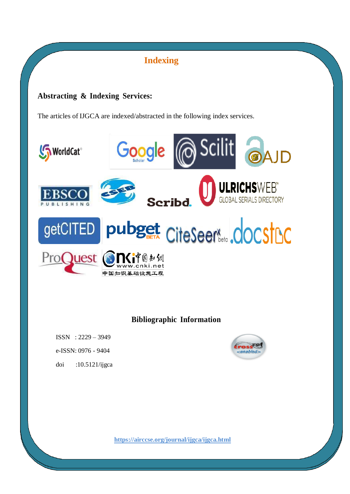# **Indexing**

### **Abstracting & Indexing Services:**

The articles of IJGCA are indexed/abstracted in the following index services.



**Bibliographic Information**

ISSN : 2229 – 3949 e-ISSN: 0976 - 9404

doi :10.5121/ijgca